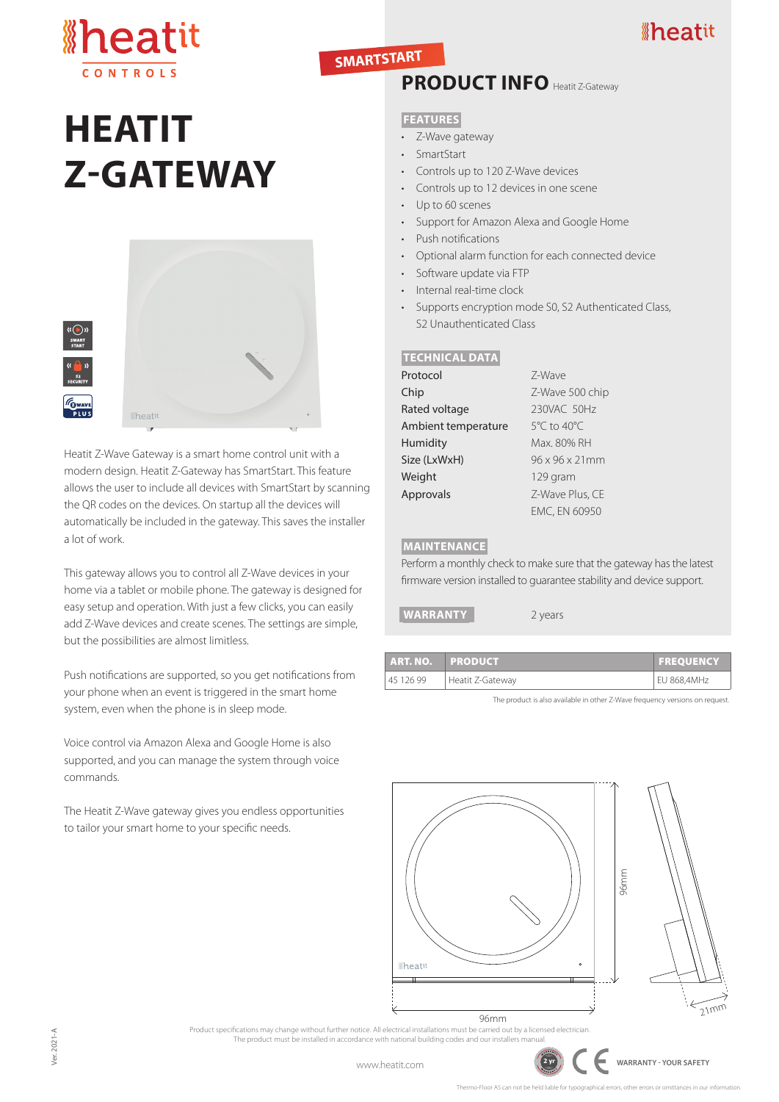## *I*heatit



## **HEATIT Z-GATEWAY**



Heatit Z-Wave Gateway is a smart home control unit with a modern design. Heatit Z-Gateway has SmartStart. This feature allows the user to include all devices with SmartStart by scanning the QR codes on the devices. On startup all the devices will automatically be included in the gateway. This saves the installer a lot of work.

This gateway allows you to control all Z-Wave devices in your home via a tablet or mobile phone. The gateway is designed for easy setup and operation. With just a few clicks, you can easily add Z-Wave devices and create scenes. The settings are simple, but the possibilities are almost limitless.

Push notifications are supported, so you get notifications from your phone when an event is triggered in the smart home system, even when the phone is in sleep mode.

Voice control via Amazon Alexa and Google Home is also supported, and you can manage the system through voice commands.

The Heatit Z-Wave gateway gives you endless opportunities to tailor your smart home to your specific needs.

### **SMARTSTART**

### **PRODUCT INFO Heatit Z-Gateway**

#### **FEATURES**

- Z-Wave gateway
- SmartStart
- Controls up to 120 Z-Wave devices
- Controls up to 12 devices in one scene
- Up to 60 scenes
- Support for Amazon Alexa and Google Home
- Push notifications
- Optional alarm function for each connected device
- Software update via FTP
- Internal real-time clock
- Supports encryption mode S0, S2 Authenticated Class, S2 Unauthenticated Class

#### **TECHNICAL DATA**

| Protocol            | 7-Wave          |  |
|---------------------|-----------------|--|
| Chip                | Z-Wave 500 chip |  |
| Rated voltage       | 230VAC 50Hz     |  |
| Ambient temperature | 5°C to 40°C     |  |
| Humidity            | Max. 80% RH     |  |
| Size (LxWxH)        | 96 x 96 x 21mm  |  |
| Weight              | 129 gram        |  |
| Approvals           | Z-Wave Plus, CE |  |
|                     | EMC, EN 60950   |  |

#### **MAINTENANCE**

Perform a monthly check to make sure that the gateway has the latest firmware version installed to guarantee stability and device support.

**WARRANTY** 2 years

| ART. NO. PRODUCT |                  | <b>FREQUENCY</b>   |
|------------------|------------------|--------------------|
| 45 126 99        | Heatit Z-Gateway | <b>EU 868,4MHz</b> |

The product is also available in other Z-Wave frequency versions on request.



Product specifications may change without further notice. All electrical installations must be carried out by a licensed electrician. The product must be installed in accordance with national building codes and our installers manual.

**WARRANTY - YOUR SAFETY**